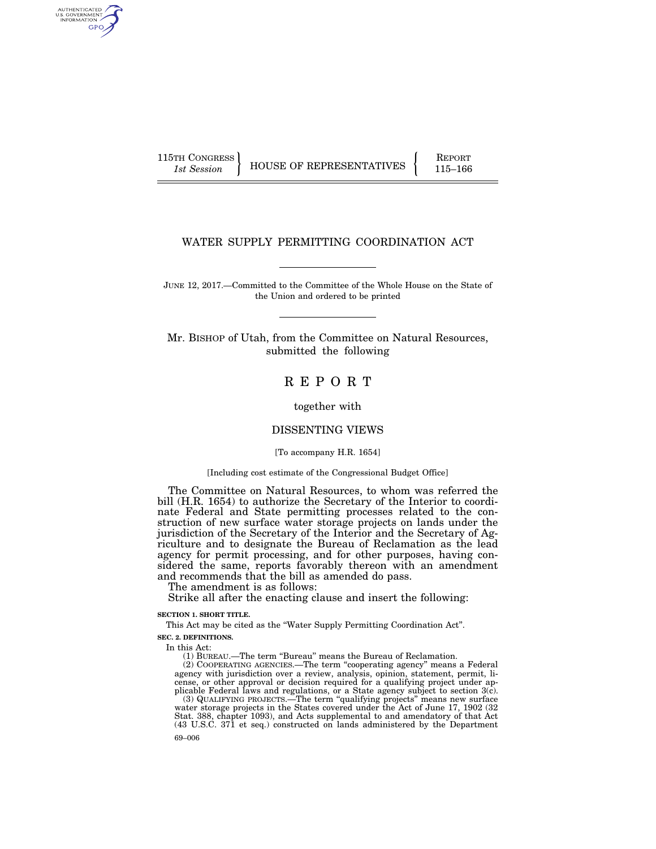AUTHENTICATED U.S. GOVERNMENT GPO

115TH CONGRESS HOUSE OF REPRESENTATIVES FEPORT 115–166

# WATER SUPPLY PERMITTING COORDINATION ACT

JUNE 12, 2017.—Committed to the Committee of the Whole House on the State of the Union and ordered to be printed

Mr. BISHOP of Utah, from the Committee on Natural Resources, submitted the following

# R E P O R T

together with

# DISSENTING VIEWS

[To accompany H.R. 1654]

### [Including cost estimate of the Congressional Budget Office]

The Committee on Natural Resources, to whom was referred the bill (H.R. 1654) to authorize the Secretary of the Interior to coordinate Federal and State permitting processes related to the construction of new surface water storage projects on lands under the jurisdiction of the Secretary of the Interior and the Secretary of Agriculture and to designate the Bureau of Reclamation as the lead agency for permit processing, and for other purposes, having considered the same, reports favorably thereon with an amendment and recommends that the bill as amended do pass.

The amendment is as follows:

Strike all after the enacting clause and insert the following:

### **SECTION 1. SHORT TITLE.**

This Act may be cited as the ''Water Supply Permitting Coordination Act''.

**SEC. 2. DEFINITIONS.** 

In this Act:

(1) BUREAU.—The term ''Bureau'' means the Bureau of Reclamation.

(2) COOPERATING AGENCIES.—The term ''cooperating agency'' means a Federal agency with jurisdiction over a review, analysis, opinion, statement, permit, license, or other approval or decision required for a qualifying project under applicable Federal laws and regulations, or a State agency subject to section  $3(\bar{c})$ .

69–006 (3) QUALIFYING PROJECTS.—The term ''qualifying projects'' means new surface water storage projects in the States covered under the Act of June 17, 1902 (32 Stat. 388, chapter 1093), and Acts supplemental to and amendatory of that Act (43 U.S.C. 371 et seq.) constructed on lands administered by the Department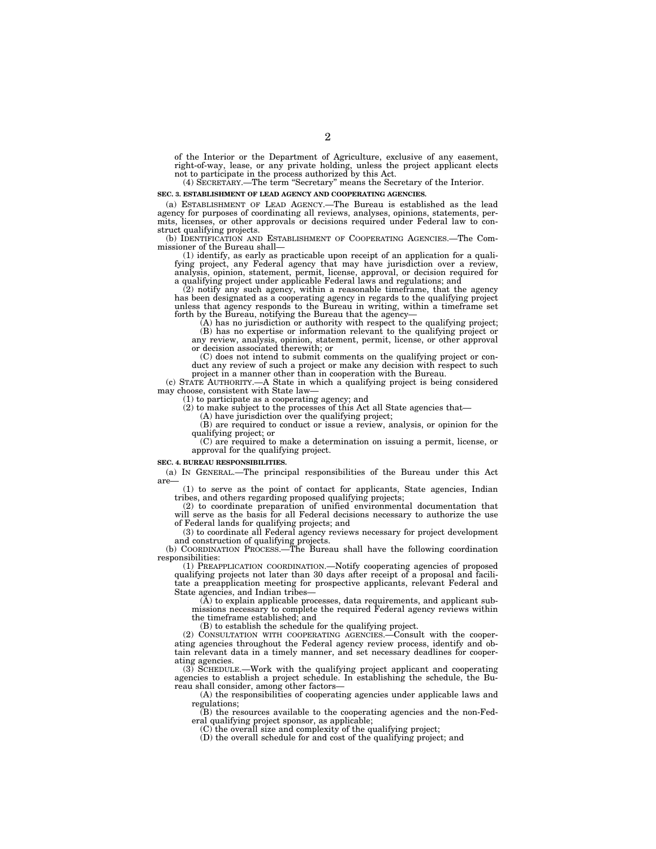of the Interior or the Department of Agriculture, exclusive of any easement, right-of-way, lease, or any private holding, unless the project applicant elects not to participate in the process authorized by this Act.

(4) SECRETARY.—The term ''Secretary'' means the Secretary of the Interior.

#### **SEC. 3. ESTABLISHMENT OF LEAD AGENCY AND COOPERATING AGENCIES.**

(a) ESTABLISHMENT OF LEAD AGENCY.—The Bureau is established as the lead agency for purposes of coordinating all reviews, analyses, opinions, statements, per-mits, licenses, or other approvals or decisions required under Federal law to construct qualifying projects.

(b) IDENTIFICATION AND ESTABLISHMENT OF COOPERATING AGENCIES.—The Commissioner of the Bureau shall—

(1) identify, as early as practicable upon receipt of an application for a qualifying project, any Federal agency that may have jurisdiction over a review, analysis, opinion, statement, permit, license, approval, or decisi

 $(2)$  notify any such agency, within a reasonable time<br>frame, that the agency has been designated as a cooperating agency in regards to the qualifying project<br>unless that agency responds to the Bureau in writing, within a forth by the Bureau, notifying the Bureau that the agency—

 $(A)$  has no jurisdiction or authority with respect to the qualifying project; (B) has no expertise or information relevant to the qualifying project or any review, analysis, opinion, statement, permit, license, or other approval or decision associated therewith; or

(C) does not intend to submit comments on the qualifying project or con-duct any review of such a project or make any decision with respect to such project in a manner other than in cooperation with the Bureau.

(c) STATE AUTHORITY.—A State in which a qualifying project is being considered may choose, consistent with State law—

(1) to participate as a cooperating agency; and

(2) to make subject to the processes of this Act all State agencies that—

(A) have jurisdiction over the qualifying project;

(B) are required to conduct or issue a review, analysis, or opinion for the qualifying project; or

(C) are required to make a determination on issuing a permit, license, or approval for the qualifying project.

#### **SEC. 4. BUREAU RESPONSIBILITIES.**

(a) IN GENERAL.—The principal responsibilities of the Bureau under this Act are— (1) to serve as the point of contact for applicants, State agencies, Indian

tribes, and others regarding proposed qualifying projects;

(2) to coordinate preparation of unified environmental documentation that will serve as the basis for all Federal decisions necessary to authorize the use of Federal lands for qualifying projects; and

(3) to coordinate all Federal agency reviews necessary for project development and construction of qualifying projects.

(b) COORDINATION PROCESS.—The Bureau shall have the following coordination responsibilities:

(1) PREAPPLICATION COORDINATION.—Notify cooperating agencies of proposed qualifying projects not later than 30 days after receipt of a proposal and facilitate a preapplication meeting for prospective applicants, relevant Federal and State agencies, and Indian tribes-

(A) to explain applicable processes, data requirements, and applicant submissions necessary to complete the required Federal agency reviews within the timeframe established; and

(B) to establish the schedule for the qualifying project.

(2) CONSULTATION WITH COOPERATING AGENCIES.—Consult with the cooperating agencies throughout the Federal agency review process, identify and obtain relevant data in a timely manner, and set necessary deadlines for cooperating agencies.

(3) SCHEDULE.—Work with the qualifying project applicant and cooperating agencies to establish a project schedule. In establishing the schedule, the Bureau shall consider, among other factors—

(A) the responsibilities of cooperating agencies under applicable laws and regulations; (B) the resources available to the cooperating agencies and the non-Fed-

eral qualifying project sponsor, as applicable;

(C) the overall size and complexity of the qualifying project;

(D) the overall schedule for and cost of the qualifying project; and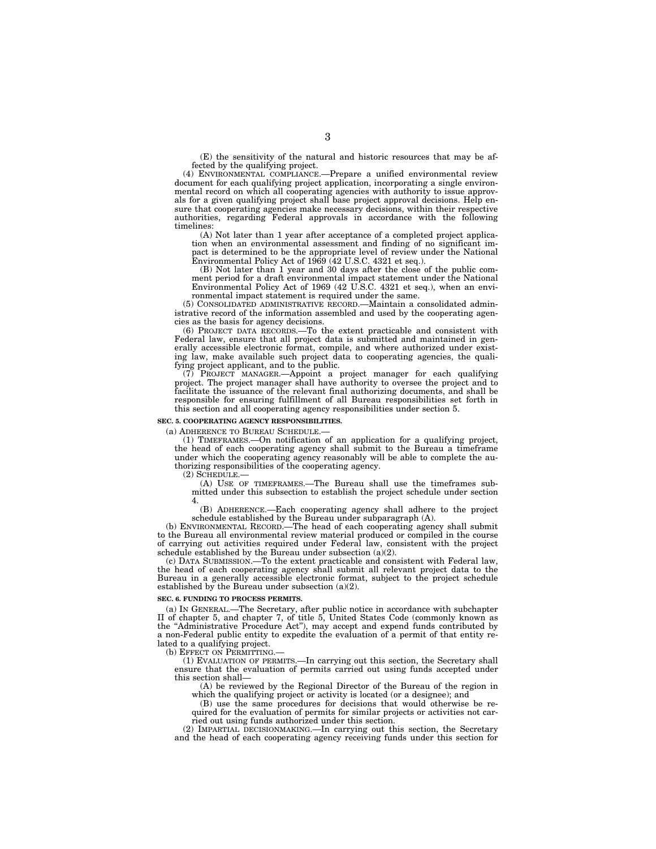(E) the sensitivity of the natural and historic resources that may be affected by the qualifying project.

(4) ENVIRONMENTAL COMPLIANCE.—Prepare a unified environmental review document for each qualifying project application, incorporating a single environmental record on which all cooperating agencies with authority to issue approvals for a given qualifying project shall base project approval decisions. Help ensure that cooperating agencies make necessary decisions, within their respective authorities, regarding Federal approvals in accordance with the following timelines:

(A) Not later than 1 year after acceptance of a completed project application when an environmental assessment and finding of no significant impact is determined to be the appropriate level of review under the National Environmental Policy Act of 1969 (42 U.S.C. 4321 et seq.).

(B) Not later than 1 year and 30 days after the close of the public comment period for a draft environmental impact statement under the National Environmental Policy Act of 1969 (42 U.S.C. 4321 et seq.), when an environmental impact statement is required under the same.

(5) CONSOLIDATED ADMINISTRATIVE RECORD.—Maintain a consolidated administrative record of the information assembled and used by the cooperating agencies as the basis for agency decisions.

(6) PROJECT DATA RECORDS.—To the extent practicable and consistent with Federal law, ensure that all project data is submitted and maintained in generally accessible electronic format, compile, and where authorized under existing law, make available such project data to cooperating agencies, the qualifying project applicant, and to the public.

(7) PROJECT MANAGER.—Appoint a project manager for each qualifying project. The project manager shall have authority to oversee the project and to facilitate the issuance of the relevant final authorizing documents, and shall be responsible for ensuring fulfillment of all Bureau responsibilities set forth in this section and all cooperating agency responsibilities under section 5.

#### **SEC. 5. COOPERATING AGENCY RESPONSIBILITIES.**

(a) ADHERENCE TO BUREAU SCHEDULE.—

(1) TIMEFRAMES.—On notification of an application for a qualifying project, the head of each cooperating agency shall submit to the Bureau a timeframe under which the cooperating agency reasonably will be able to complete the authorizing responsibilities of the cooperating agency.

 $(2)$  SCHEDULE.

(A) USE OF TIMEFRAMES.—The Bureau shall use the timeframes submitted under this subsection to establish the project schedule under section 4.

(B) ADHERENCE.—Each cooperating agency shall adhere to the project schedule established by the Bureau under subparagraph (A).

(b) ENVIRONMENTAL RECORD.—The head of each cooperating agency shall submit to the Bureau all environmental review material produced or compiled in the course of carrying out activities required under Federal law, consistent with the project schedule established by the Bureau under subsection  $(a)(2)$ .

(c) DATA SUBMISSION.—To the extent practicable and consistent with Federal law, the head of each cooperating agency shall submit all relevant project data to the Bureau in a generally accessible electronic format, subject to the project schedule established by the Bureau under subsection (a)(2).

#### **SEC. 6. FUNDING TO PROCESS PERMITS.**

(a) IN GENERAL.—The Secretary, after public notice in accordance with subchapter II of chapter 5, and chapter 7, of title 5, United States Code (commonly known as the ''Administrative Procedure Act''), may accept and expend funds contributed by a non-Federal public entity to expedite the evaluation of a permit of that entity related to a qualifying project.

(b) EFFECT ON PERMITTING.—

(1) EVALUATION OF PERMITS.—In carrying out this section, the Secretary shall ensure that the evaluation of permits carried out using funds accepted under this section shall—

(A) be reviewed by the Regional Director of the Bureau of the region in which the qualifying project or activity is located (or a designee); and

(B) use the same procedures for decisions that would otherwise be required for the evaluation of permits for similar projects or activities not carried out using funds authorized under this section.

(2) IMPARTIAL DECISIONMAKING.—In carrying out this section, the Secretary and the head of each cooperating agency receiving funds under this section for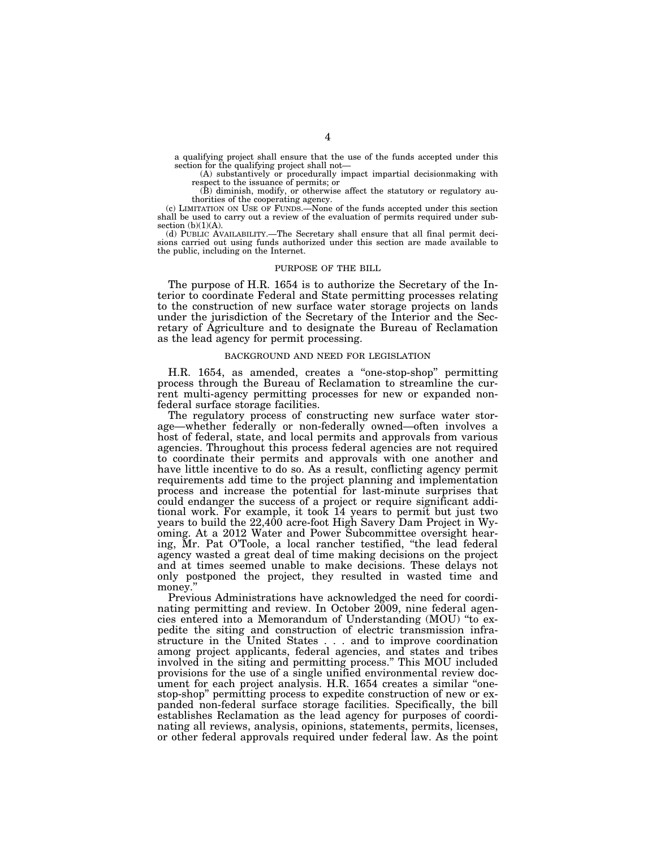a qualifying project shall ensure that the use of the funds accepted under this section for the qualifying project shall not—

(A) substantively or procedurally impact impartial decisionmaking with respect to the issuance of permits; or

(B) diminish, modify, or otherwise affect the statutory or regulatory au-

thorities of the cooperating agency. (c) LIMITATION ON USE OF FUNDS.—None of the funds accepted under this section shall be used to carry out a review of the evaluation of permits required under subsection  $(b)(1)(A)$ .

(d) PUBLIC AVAILABILITY.—The Secretary shall ensure that all final permit decisions carried out using funds authorized under this section are made available to the public, including on the Internet.

#### PURPOSE OF THE BILL

The purpose of H.R. 1654 is to authorize the Secretary of the Interior to coordinate Federal and State permitting processes relating to the construction of new surface water storage projects on lands under the jurisdiction of the Secretary of the Interior and the Secretary of Agriculture and to designate the Bureau of Reclamation as the lead agency for permit processing.

### BACKGROUND AND NEED FOR LEGISLATION

H.R. 1654, as amended, creates a ''one-stop-shop'' permitting process through the Bureau of Reclamation to streamline the current multi-agency permitting processes for new or expanded nonfederal surface storage facilities.

The regulatory process of constructing new surface water storage—whether federally or non-federally owned—often involves a host of federal, state, and local permits and approvals from various agencies. Throughout this process federal agencies are not required to coordinate their permits and approvals with one another and have little incentive to do so. As a result, conflicting agency permit requirements add time to the project planning and implementation process and increase the potential for last-minute surprises that could endanger the success of a project or require significant additional work. For example, it took 14 years to permit but just two years to build the 22,400 acre-foot High Savery Dam Project in Wyoming. At a 2012 Water and Power Subcommittee oversight hearing, Mr. Pat O'Toole, a local rancher testified, ''the lead federal agency wasted a great deal of time making decisions on the project and at times seemed unable to make decisions. These delays not only postponed the project, they resulted in wasted time and money."

Previous Administrations have acknowledged the need for coordinating permitting and review. In October 2009, nine federal agencies entered into a Memorandum of Understanding (MOU) ''to expedite the siting and construction of electric transmission infrastructure in the United States . . . and to improve coordination among project applicants, federal agencies, and states and tribes involved in the siting and permitting process.'' This MOU included provisions for the use of a single unified environmental review document for each project analysis. H.R. 1654 creates a similar "onestop-shop'' permitting process to expedite construction of new or expanded non-federal surface storage facilities. Specifically, the bill establishes Reclamation as the lead agency for purposes of coordinating all reviews, analysis, opinions, statements, permits, licenses, or other federal approvals required under federal law. As the point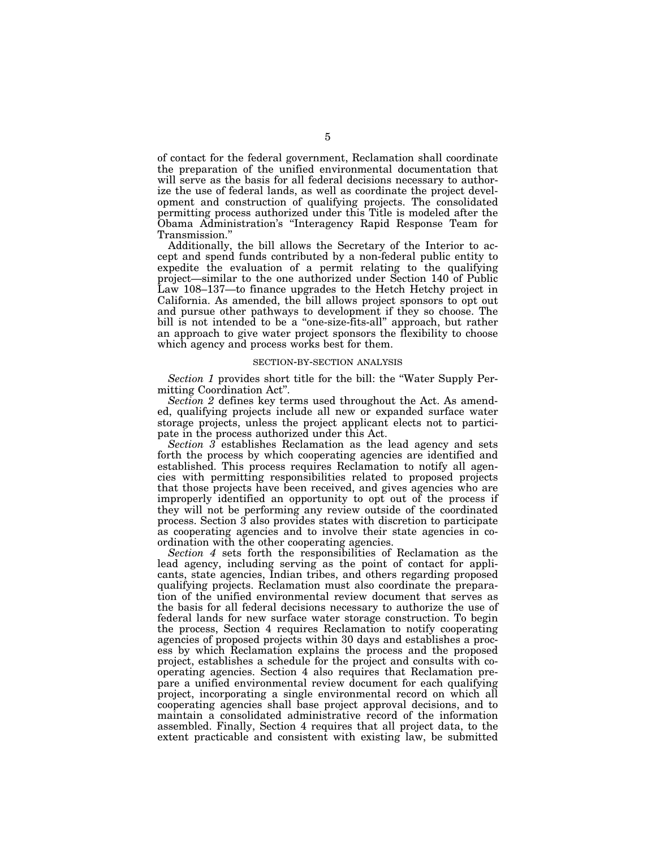of contact for the federal government, Reclamation shall coordinate the preparation of the unified environmental documentation that will serve as the basis for all federal decisions necessary to authorize the use of federal lands, as well as coordinate the project development and construction of qualifying projects. The consolidated permitting process authorized under this Title is modeled after the Obama Administration's ''Interagency Rapid Response Team for Transmission.''

Additionally, the bill allows the Secretary of the Interior to accept and spend funds contributed by a non-federal public entity to expedite the evaluation of a permit relating to the qualifying project—similar to the one authorized under Section 140 of Public Law 108–137—to finance upgrades to the Hetch Hetchy project in California. As amended, the bill allows project sponsors to opt out and pursue other pathways to development if they so choose. The bill is not intended to be a ''one-size-fits-all'' approach, but rather an approach to give water project sponsors the flexibility to choose which agency and process works best for them.

#### SECTION-BY-SECTION ANALYSIS

*Section 1* provides short title for the bill: the ''Water Supply Permitting Coordination Act''.

*Section 2* defines key terms used throughout the Act. As amended, qualifying projects include all new or expanded surface water storage projects, unless the project applicant elects not to participate in the process authorized under this Act.

*Section 3* establishes Reclamation as the lead agency and sets forth the process by which cooperating agencies are identified and established. This process requires Reclamation to notify all agencies with permitting responsibilities related to proposed projects that those projects have been received, and gives agencies who are improperly identified an opportunity to opt out of the process if they will not be performing any review outside of the coordinated process. Section 3 also provides states with discretion to participate as cooperating agencies and to involve their state agencies in coordination with the other cooperating agencies.

*Section 4* sets forth the responsibilities of Reclamation as the lead agency, including serving as the point of contact for applicants, state agencies, Indian tribes, and others regarding proposed qualifying projects. Reclamation must also coordinate the preparation of the unified environmental review document that serves as the basis for all federal decisions necessary to authorize the use of federal lands for new surface water storage construction. To begin the process, Section 4 requires Reclamation to notify cooperating agencies of proposed projects within 30 days and establishes a process by which Reclamation explains the process and the proposed project, establishes a schedule for the project and consults with cooperating agencies. Section 4 also requires that Reclamation prepare a unified environmental review document for each qualifying project, incorporating a single environmental record on which all cooperating agencies shall base project approval decisions, and to maintain a consolidated administrative record of the information assembled. Finally, Section 4 requires that all project data, to the extent practicable and consistent with existing law, be submitted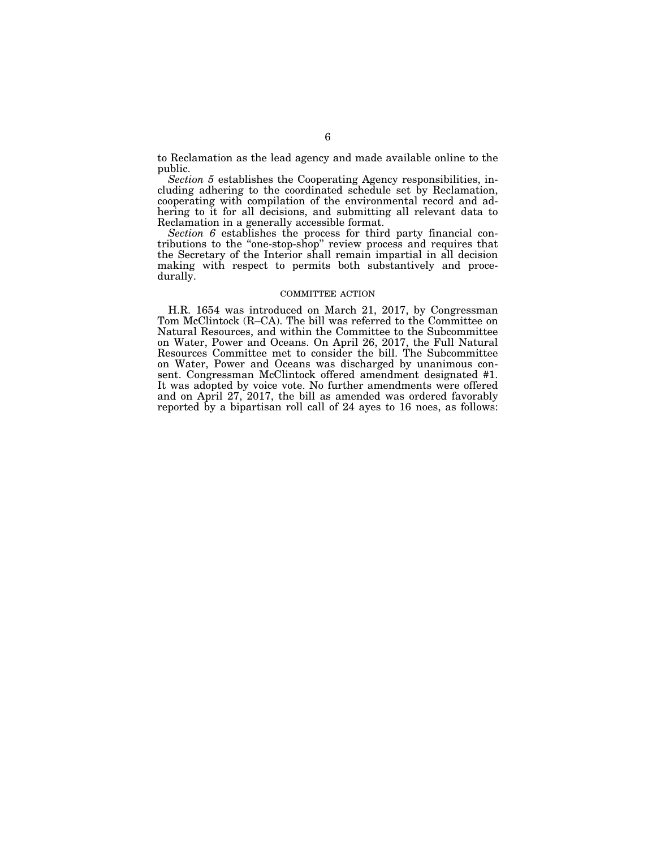to Reclamation as the lead agency and made available online to the public.

*Section 5* establishes the Cooperating Agency responsibilities, including adhering to the coordinated schedule set by Reclamation, cooperating with compilation of the environmental record and adhering to it for all decisions, and submitting all relevant data to Reclamation in a generally accessible format.

*Section 6* establishes the process for third party financial contributions to the ''one-stop-shop'' review process and requires that the Secretary of the Interior shall remain impartial in all decision making with respect to permits both substantively and procedurally.

### COMMITTEE ACTION

H.R. 1654 was introduced on March 21, 2017, by Congressman Tom McClintock (R–CA). The bill was referred to the Committee on Natural Resources, and within the Committee to the Subcommittee on Water, Power and Oceans. On April 26, 2017, the Full Natural Resources Committee met to consider the bill. The Subcommittee on Water, Power and Oceans was discharged by unanimous consent. Congressman McClintock offered amendment designated #1. It was adopted by voice vote. No further amendments were offered and on April 27, 2017, the bill as amended was ordered favorably reported by a bipartisan roll call of 24 ayes to 16 noes, as follows: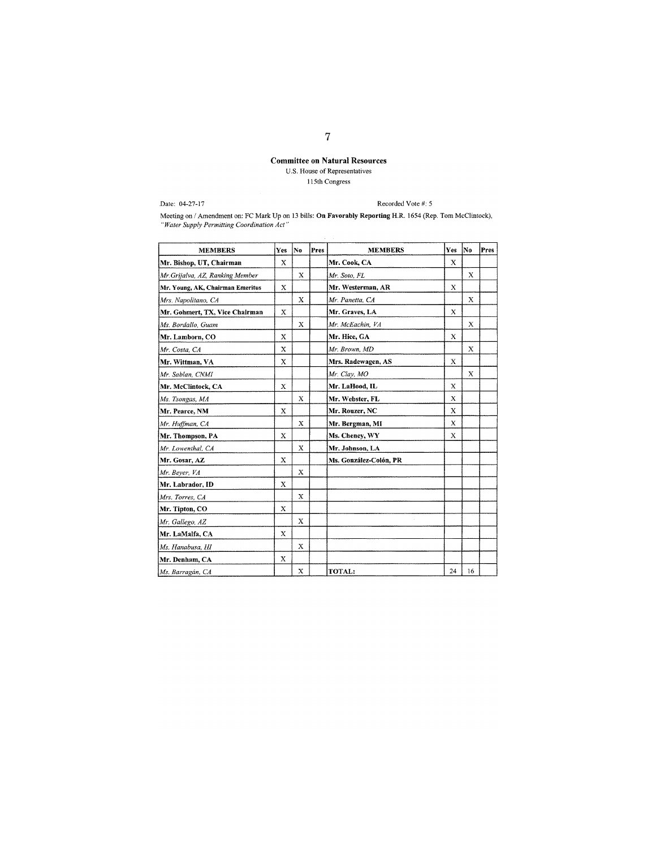# **Committee on Natural Resources** U.S. House of Representatives

 $115th$  Congress

Date: 04-27-17

Recorded Vote #: 5

Meeting on / Amendment on: FC Mark Up on 13 bills: On Favorably Reporting H.R. 1654 (Rep. Tom McClintock), "Water Supply Permitting Coordination Act"

| <b>MEMBERS</b>                   | Yes          | No          | Pres | <b>MEMBERS</b>         | Yes                       | No          | Pres |
|----------------------------------|--------------|-------------|------|------------------------|---------------------------|-------------|------|
| Mr. Bishop, UT, Chairman         | X            |             |      | Mr. Cook, CA           | X                         |             |      |
| Mr.Grijalva, AZ, Ranking Member  |              | X           |      | Mr. Soto, FL           |                           | X           |      |
| Mr. Young, AK, Chairman Emeritus | X            |             |      | Mr. Westerman, AR      | X                         |             |      |
| Mrs. Napolitano, CA              |              | X           |      | Mr. Panetta, CA        |                           | $\mathbf x$ |      |
| Mr. Gohmert, TX, Vice Chairman   | $\mathbf x$  |             |      | Mr. Graves, LA         | $\boldsymbol{\mathsf{X}}$ |             |      |
| Ms. Bordallo, Guam               |              | X           |      | Mr. McEachin, VA       |                           | X           |      |
| Mr. Lamborn, CO                  | X            |             |      | Mr. Hice, GA           | X                         |             |      |
| Mr. Costa, CA                    | $\mathbf{x}$ |             |      | Mr. Brown, MD          |                           | X           |      |
| Mr. Wittman, VA                  | X            |             |      | Mrs. Radewagen, AS     | $\mathbf x$               |             |      |
| Mr. Sablan, CNMI                 |              |             |      | Mr. Clay, MO           |                           | $\mathbf X$ |      |
| Mr. McClintock, CA               | $\mathbf x$  |             |      | Mr. LaHood, IL         | X                         |             |      |
| Ms. Tsongas, MA                  |              | X           |      | Mr. Webster, FL        | X                         |             |      |
| Mr. Pearce, NM                   | $\mathbf x$  |             |      | Mr. Rouzer, NC         | X                         |             |      |
| Mr. Huffman, CA                  |              | X           |      | Mr. Bergman, MI        | X                         |             |      |
| Mr. Thompson, PA                 | $\mathbf x$  |             |      | Ms. Cheney, WY         | X                         |             |      |
| Mr. Lowenthal, CA                |              | X           |      | Mr. Johnson, LA        |                           |             |      |
| Mr. Gosar, AZ                    | $\mathbf x$  |             |      | Ms. González-Colón, PR |                           |             |      |
| Mr. Beyer, VA                    |              | X           |      |                        |                           |             |      |
| Mr. Labrador, ID                 | X            |             |      |                        |                           |             |      |
| Mrs. Torres, CA                  |              | X           |      |                        |                           |             |      |
| Mr. Tipton, CO                   | $\mathbf x$  |             |      |                        |                           |             |      |
| Mr. Gallego, AZ                  |              | X           |      |                        |                           |             |      |
| Mr. LaMalfa, CA                  | X            |             |      |                        |                           |             |      |
| Ms. Hanabusa, HI                 |              | $\mathbf x$ |      |                        |                           |             |      |
| Mr. Denham, CA                   | X            |             |      |                        |                           |             |      |
| Ms. Barragán, CA                 |              | X           |      | TOTAL:                 | 24                        | 16          |      |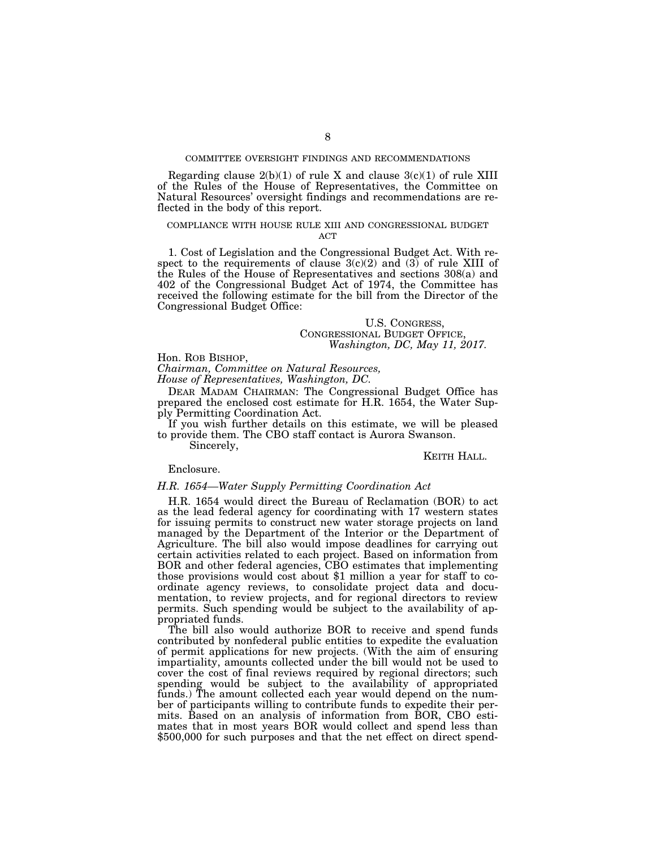## COMMITTEE OVERSIGHT FINDINGS AND RECOMMENDATIONS

Regarding clause  $2(b)(1)$  of rule X and clause  $3(c)(1)$  of rule XIII of the Rules of the House of Representatives, the Committee on Natural Resources' oversight findings and recommendations are reflected in the body of this report.

### COMPLIANCE WITH HOUSE RULE XIII AND CONGRESSIONAL BUDGET **ACT**

1. Cost of Legislation and the Congressional Budget Act. With respect to the requirements of clause  $3(c)(2)$  and  $(3)$  of rule XIII of the Rules of the House of Representatives and sections 308(a) and 402 of the Congressional Budget Act of 1974, the Committee has received the following estimate for the bill from the Director of the Congressional Budget Office:

# U.S. CONGRESS, CONGRESSIONAL BUDGET OFFICE, *Washington, DC, May 11, 2017.*

## Hon. ROB BISHOP,

*Chairman, Committee on Natural Resources,* 

*House of Representatives, Washington, DC.* 

DEAR MADAM CHAIRMAN: The Congressional Budget Office has prepared the enclosed cost estimate for H.R. 1654, the Water Supply Permitting Coordination Act.

If you wish further details on this estimate, we will be pleased to provide them. The CBO staff contact is Aurora Swanson.

Sincerely,

### KEITH HALL.

### Enclosure.

#### *H.R. 1654—Water Supply Permitting Coordination Act*

H.R. 1654 would direct the Bureau of Reclamation (BOR) to act as the lead federal agency for coordinating with 17 western states for issuing permits to construct new water storage projects on land managed by the Department of the Interior or the Department of Agriculture. The bill also would impose deadlines for carrying out certain activities related to each project. Based on information from BOR and other federal agencies, CBO estimates that implementing those provisions would cost about \$1 million a year for staff to coordinate agency reviews, to consolidate project data and documentation, to review projects, and for regional directors to review permits. Such spending would be subject to the availability of appropriated funds.

The bill also would authorize BOR to receive and spend funds contributed by nonfederal public entities to expedite the evaluation of permit applications for new projects. (With the aim of ensuring impartiality, amounts collected under the bill would not be used to cover the cost of final reviews required by regional directors; such spending would be subject to the availability of appropriated funds.) The amount collected each year would depend on the number of participants willing to contribute funds to expedite their permits. Based on an analysis of information from BOR, CBO estimates that in most years BOR would collect and spend less than \$500,000 for such purposes and that the net effect on direct spend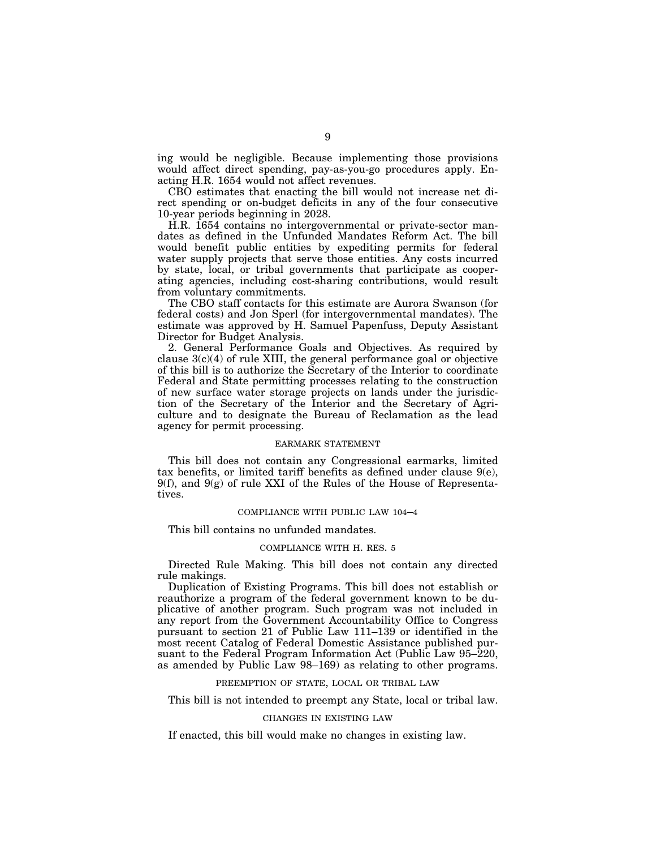ing would be negligible. Because implementing those provisions would affect direct spending, pay-as-you-go procedures apply. Enacting H.R. 1654 would not affect revenues.

CBO estimates that enacting the bill would not increase net direct spending or on-budget deficits in any of the four consecutive 10-year periods beginning in 2028.

H.R. 1654 contains no intergovernmental or private-sector mandates as defined in the Unfunded Mandates Reform Act. The bill would benefit public entities by expediting permits for federal water supply projects that serve those entities. Any costs incurred by state, local, or tribal governments that participate as cooperating agencies, including cost-sharing contributions, would result from voluntary commitments.

The CBO staff contacts for this estimate are Aurora Swanson (for federal costs) and Jon Sperl (for intergovernmental mandates). The estimate was approved by H. Samuel Papenfuss, Deputy Assistant Director for Budget Analysis.

2. General Performance Goals and Objectives. As required by clause  $3(c)(4)$  of rule XIII, the general performance goal or objective of this bill is to authorize the Secretary of the Interior to coordinate Federal and State permitting processes relating to the construction of new surface water storage projects on lands under the jurisdiction of the Secretary of the Interior and the Secretary of Agriculture and to designate the Bureau of Reclamation as the lead agency for permit processing.

### EARMARK STATEMENT

This bill does not contain any Congressional earmarks, limited tax benefits, or limited tariff benefits as defined under clause 9(e),  $9(f)$ , and  $9(g)$  of rule XXI of the Rules of the House of Representatives.

# COMPLIANCE WITH PUBLIC LAW 104–4

This bill contains no unfunded mandates.

## COMPLIANCE WITH H. RES. 5

Directed Rule Making. This bill does not contain any directed rule makings.

Duplication of Existing Programs. This bill does not establish or reauthorize a program of the federal government known to be duplicative of another program. Such program was not included in any report from the Government Accountability Office to Congress pursuant to section 21 of Public Law 111–139 or identified in the most recent Catalog of Federal Domestic Assistance published pursuant to the Federal Program Information Act (Public Law 95–220, as amended by Public Law 98–169) as relating to other programs.

## PREEMPTION OF STATE, LOCAL OR TRIBAL LAW

This bill is not intended to preempt any State, local or tribal law.

## CHANGES IN EXISTING LAW

If enacted, this bill would make no changes in existing law.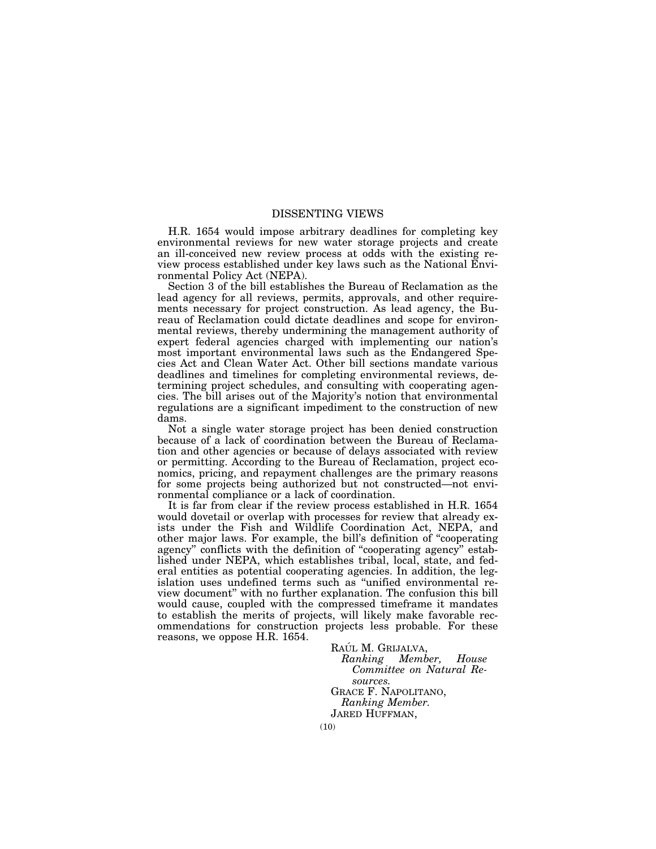# DISSENTING VIEWS

H.R. 1654 would impose arbitrary deadlines for completing key environmental reviews for new water storage projects and create an ill-conceived new review process at odds with the existing review process established under key laws such as the National Environmental Policy Act (NEPA).

Section 3 of the bill establishes the Bureau of Reclamation as the lead agency for all reviews, permits, approvals, and other requirements necessary for project construction. As lead agency, the Bureau of Reclamation could dictate deadlines and scope for environmental reviews, thereby undermining the management authority of expert federal agencies charged with implementing our nation's most important environmental laws such as the Endangered Species Act and Clean Water Act. Other bill sections mandate various deadlines and timelines for completing environmental reviews, determining project schedules, and consulting with cooperating agencies. The bill arises out of the Majority's notion that environmental regulations are a significant impediment to the construction of new dams.

Not a single water storage project has been denied construction because of a lack of coordination between the Bureau of Reclamation and other agencies or because of delays associated with review or permitting. According to the Bureau of Reclamation, project economics, pricing, and repayment challenges are the primary reasons for some projects being authorized but not constructed—not environmental compliance or a lack of coordination.

It is far from clear if the review process established in H.R. 1654 would dovetail or overlap with processes for review that already exists under the Fish and Wildlife Coordination Act, NEPA, and other major laws. For example, the bill's definition of ''cooperating agency" conflicts with the definition of "cooperating agency" established under NEPA, which establishes tribal, local, state, and federal entities as potential cooperating agencies. In addition, the legislation uses undefined terms such as ''unified environmental review document'' with no further explanation. The confusion this bill would cause, coupled with the compressed timeframe it mandates to establish the merits of projects, will likely make favorable recommendations for construction projects less probable. For these reasons, we oppose H.R. 1654.

RAÚL M. GRIJALVA,<br>Ranking Memb *Ranking Member, House Committee on Natural Resources.*  GRACE F. NAPOLITANO, *Ranking Member.*  JARED HUFFMAN,